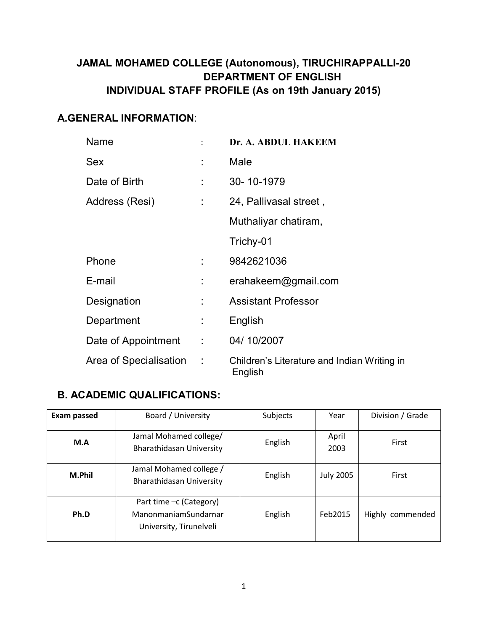# **JAMAL MOHAMED COLLEGE (Autonomous), TIRUCHIRAPPALLI-20 DEPARTMENT OF ENGLISH INDIVIDUAL STAFF PROFILE (As on 19th January 2015)**

## **A.GENERAL INFORMATION**:

| Name                     |                            | Dr. A. ABDUL HAKEEM                                    |
|--------------------------|----------------------------|--------------------------------------------------------|
| <b>Sex</b>               |                            | Male                                                   |
| Date of Birth            |                            | 30-10-1979                                             |
| Address (Resi)           | ÷                          | 24, Pallivasal street,                                 |
|                          |                            | Muthaliyar chatiram,                                   |
|                          |                            | Trichy-01                                              |
| Phone                    |                            | 9842621036                                             |
| E-mail                   | ÷                          | erahakeem@gmail.com                                    |
| Designation              |                            | <b>Assistant Professor</b>                             |
| Department               | $\mathbb{R}^n$             | English                                                |
| Date of Appointment      | $\mathcal{L}^{\text{max}}$ | 04/10/2007                                             |
| Area of Specialisation : |                            | Children's Literature and Indian Writing in<br>English |

## **B. ACADEMIC QUALIFICATIONS:**

| <b>Exam passed</b> | Board / University                                                         | Subjects | Year             | Division / Grade |
|--------------------|----------------------------------------------------------------------------|----------|------------------|------------------|
| M.A                | Jamal Mohamed college/<br>Bharathidasan University                         | English  | April<br>2003    | First            |
| M.Phil             | Jamal Mohamed college /<br><b>Bharathidasan University</b>                 | English  | <b>July 2005</b> | First            |
| Ph.D               | Part time -c (Category)<br>ManonmaniamSundarnar<br>University, Tirunelveli | English  | Feb2015          | Highly commended |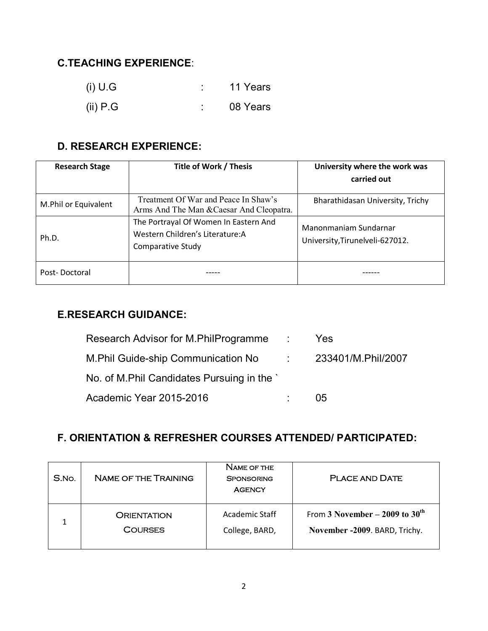# **C.TEACHING EXPERIENCE**:

| (i) U.G    | 11 Years |
|------------|----------|
| (ii) $P.G$ | 08 Years |

# **D. RESEARCH EXPERIENCE:**

| <b>Research Stage</b> | Title of Work / Thesis                                                                         | University where the work was                            |
|-----------------------|------------------------------------------------------------------------------------------------|----------------------------------------------------------|
|                       |                                                                                                | carried out                                              |
| M.Phil or Equivalent  | Treatment Of War and Peace In Shaw's<br>Arms And The Man & Caesar And Cleopatra.               | Bharathidasan University, Trichy                         |
| Ph.D.                 | The Portrayal Of Women In Eastern And<br>Western Children's Literature: A<br>Comparative Study | Manonmaniam Sundarnar<br>University, Tirunelveli-627012. |
| Post-Doctoral         |                                                                                                |                                                          |

### **E.RESEARCH GUIDANCE:**

| Research Advisor for M.PhilProgramme        | $\mathcal{L}(\mathcal{L})$ | <b>Yes</b>                |
|---------------------------------------------|----------------------------|---------------------------|
| M. Phil Guide-ship Communication No         |                            | $\sim$ 233401/M.Phil/2007 |
| No. of M. Phil Candidates Pursuing in the ` |                            |                           |
| Academic Year 2015-2016                     |                            | 05                        |

# **F. ORIENTATION & REFRESHER COURSES ATTENDED/ PARTICIPATED:**

| S.No. | <b>NAME OF THE TRAINING</b> | NAME OF THE<br><b>SPONSORING</b><br><b>AGENCY</b> | <b>PLACE AND DATE</b>            |
|-------|-----------------------------|---------------------------------------------------|----------------------------------|
|       | <b>ORIENTATION</b>          | Academic Staff                                    | From 3 November – 2009 to $30th$ |
|       | <b>COURSES</b>              | College, BARD,                                    | November -2009. BARD, Trichy.    |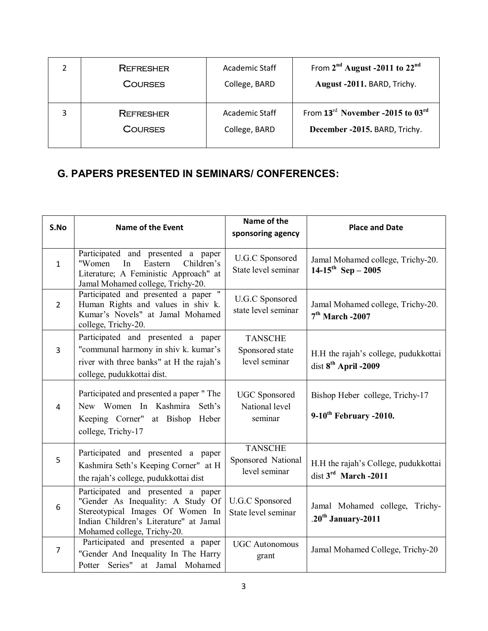| <b>REFRESHER</b> | Academic Staff | From $2nd$ August -2011 to $22nd$                        |
|------------------|----------------|----------------------------------------------------------|
| <b>COURSES</b>   | College, BARD  | August -2011. BARD, Trichy.                              |
| <b>REFRESHER</b> | Academic Staff | From 13 <sup>rd</sup> November -2015 to 03 <sup>rd</sup> |
| <b>COURSES</b>   | College, BARD  | December -2015. BARD, Trichy.                            |

## **G. PAPERS PRESENTED IN SEMINARS/ CONFERENCES:**

| S.No           | <b>Name of the Event</b>                                                                                                                                                             | Name of the<br>sponsoring agency                      | <b>Place and Date</b>                                                    |
|----------------|--------------------------------------------------------------------------------------------------------------------------------------------------------------------------------------|-------------------------------------------------------|--------------------------------------------------------------------------|
| $\mathbf{1}$   | Participated and presented a paper<br>Children's<br>"Women<br>Eastern<br>In<br>Literature; A Feministic Approach" at<br>Jamal Mohamed college, Trichy-20.                            | U.G.C Sponsored<br>State level seminar                | Jamal Mohamed college, Trichy-20.<br>$14-15^{th}$ Sep - 2005             |
| $2^{\circ}$    | Participated and presented a paper "<br>Human Rights and values in shiv k.<br>Kumar's Novels" at Jamal Mohamed<br>college, Trichy-20.                                                | <b>U.G.C</b> Sponsored<br>state level seminar         | Jamal Mohamed college, Trichy-20.<br>$7th$ March -2007                   |
| 3              | Participated and presented a paper<br>"communal harmony in shiv k. kumar's<br>river with three banks" at H the rajah's<br>college, pudukkottai dist.                                 | <b>TANSCHE</b><br>Sponsored state<br>level seminar    | H.H the rajah's college, pudukkottai<br>dist 8 <sup>th</sup> April -2009 |
| $\overline{4}$ | Participated and presented a paper "The<br>New Women In Kashmira Seth's<br>Keeping Corner" at Bishop Heber<br>college, Trichy-17                                                     | <b>UGC</b> Sponsored<br>National level<br>seminar     | Bishop Heber college, Trichy-17<br>$9-10$ <sup>th</sup> February -2010.  |
| 5              | Participated and presented a paper<br>Kashmira Seth's Keeping Corner" at H<br>the rajah's college, pudukkottai dist                                                                  | <b>TANSCHE</b><br>Sponsored National<br>level seminar | H.H the rajah's College, pudukkottai<br>dist $3rd$ March -2011           |
| 6              | Participated and presented a paper<br>"Gender As Inequality: A Study Of<br>Stereotypical Images Of Women In<br>Indian Children's Literature" at Jamal<br>Mohamed college, Trichy-20. | <b>U.G.C</b> Sponsored<br>State level seminar         | Jamal Mohamed college, Trichy-<br>.20 <sup>th</sup> January-2011         |
| $\overline{7}$ | Participated and presented a paper<br>"Gender And Inequality In The Harry<br>Potter Series" at Jamal Mohamed                                                                         | <b>UGC</b> Autonomous<br>grant                        | Jamal Mohamed College, Trichy-20                                         |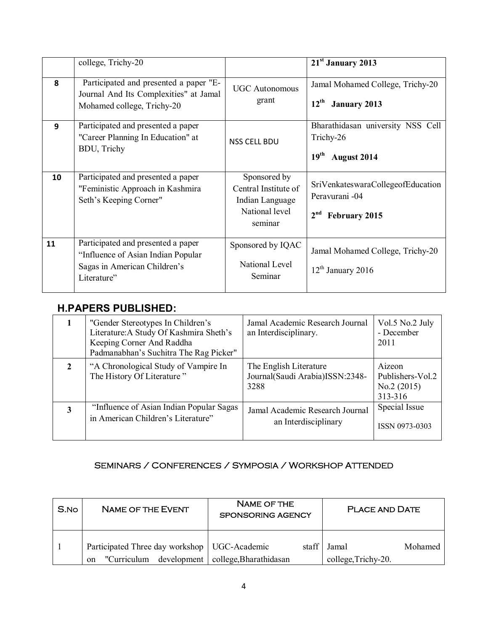|    | college, Trichy-20                                                                                                      |                                                                                      | 21 <sup>st</sup> January 2013                                                     |
|----|-------------------------------------------------------------------------------------------------------------------------|--------------------------------------------------------------------------------------|-----------------------------------------------------------------------------------|
| 8  | Participated and presented a paper "E-<br>Journal And Its Complexities" at Jamal<br>Mohamed college, Trichy-20          | <b>UGC</b> Autonomous<br>grant                                                       | Jamal Mohamed College, Trichy-20<br>$12^{\text{th}}$<br><b>January 2013</b>       |
| 9  | Participated and presented a paper<br>"Career Planning In Education" at<br>BDU, Trichy                                  | <b>NSS CELL BDU</b>                                                                  | Bharathidasan university NSS Cell<br>Trichy-26<br>19 <sup>th</sup><br>August 2014 |
| 10 | Participated and presented a paper<br>"Feministic Approach in Kashmira<br>Seth's Keeping Corner"                        | Sponsored by<br>Central Institute of<br>Indian Language<br>National level<br>seminar | SriVenkateswaraCollegeofEducation<br>Peravurani -04<br>February 2015              |
| 11 | Participated and presented a paper<br>"Influence of Asian Indian Popular<br>Sagas in American Children's<br>Literature" | Sponsored by IQAC<br>National Level<br>Seminar                                       | Jamal Mohamed College, Trichy-20<br>$12th$ January 2016                           |

#### **H.PAPERS PUBLISHED:**

|   | "Gender Stereotypes In Children's<br>Literature: A Study Of Kashmira Sheth's<br>Keeping Corner And Raddha<br>Padmanabhan's Suchitra The Rag Picker" | Jamal Academic Research Journal<br>an Interdisciplinary.          | Vol.5 No.2 July<br>- December<br>2011               |
|---|-----------------------------------------------------------------------------------------------------------------------------------------------------|-------------------------------------------------------------------|-----------------------------------------------------|
|   | "A Chronological Study of Vampire In<br>The History Of Literature"                                                                                  | The English Literature<br>Journal(Saudi Arabia)ISSN:2348-<br>3288 | Aizeon<br>Publishers-Vol.2<br>No.2(2015)<br>313-316 |
| 3 | "Influence of Asian Indian Popular Sagas"<br>in American Children's Literature"                                                                     | Jamal Academic Research Journal<br>an Interdisciplinary           | Special Issue<br>ISSN 0973-0303                     |

#### SEMINARS / CONFERENCES / SYMPOSIA / WORKSHOP ATTENDED

| S.No | <b>NAME OF THE EVENT</b>                                                           | <b>NAME OF THE</b><br><b>SPONSORING AGENCY</b> | <b>PLACE AND DATE</b>                   |
|------|------------------------------------------------------------------------------------|------------------------------------------------|-----------------------------------------|
|      | Participated Three day workshop   UGC-Academic<br>"Curriculum<br>development<br>on | staff  <br>college, Bharathidasan              | Jamal<br>Mohamed<br>college, Trichy-20. |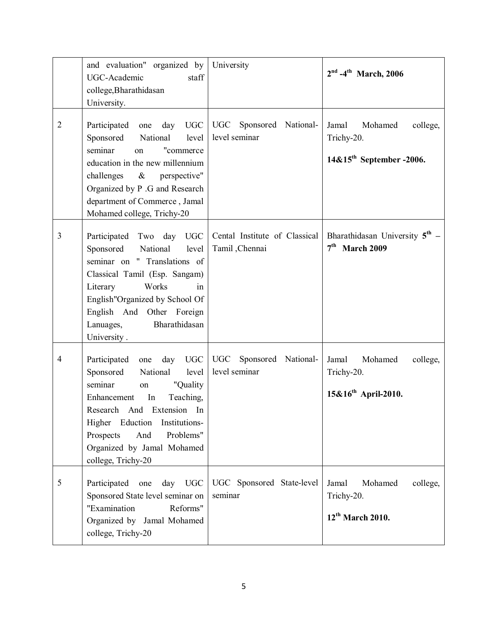|                | and evaluation" organized by<br>UGC-Academic<br>staff<br>college, Bharathidasan<br>University.                                                                                                                                                                                     | University                                      | $2nd -4th$ March, 2006                                                             |
|----------------|------------------------------------------------------------------------------------------------------------------------------------------------------------------------------------------------------------------------------------------------------------------------------------|-------------------------------------------------|------------------------------------------------------------------------------------|
| $\overline{2}$ | Participated<br>day UGC<br>one<br>Sponsored<br>National<br>level<br>seminar<br>"commerce<br>on<br>education in the new millennium<br>challenges & perspective"<br>Organized by P .G and Research<br>department of Commerce, Jamal<br>Mohamed college, Trichy-20                    | UGC<br>Sponsored National-<br>level seminar     | Jamal<br>Mohamed<br>college,<br>Trichy-20.<br>14&15 <sup>th</sup> September -2006. |
| 3              | Two day UGC<br>Participated<br>Sponsored<br>National<br>level<br>seminar on " Translations of<br>Classical Tamil (Esp. Sangam)<br>Literary<br>Works<br>in<br>English"Organized by School Of<br>English And Other Foreign<br>Bharathidasan<br>Lanuages,<br>University.              | Cental Institute of Classical<br>Tamil, Chennai | Bharathidasan University $5^{\text{th}}$ –<br>$7th$ March 2009                     |
| 4              | day UGC<br>Participated<br>one<br>Sponsored<br>National level<br>seminar<br>"Quality<br>on<br>Teaching,<br>In<br>Enhancement<br>Research And Extension In<br>Higher Eduction<br>Institutions-<br>Problems"<br>Prospects<br>And<br>Organized by Jamal Mohamed<br>college, Trichy-20 | UGC<br>Sponsored National-<br>level seminar     | Jamal<br>Mohamed<br>college,<br>Trichy-20.<br>$15\&16^{th}$ April-2010.            |
| 5              | Participated<br><b>UGC</b><br>one<br>day<br>Sponsored State level seminar on<br>"Examination<br>Reforms"<br>Organized by Jamal Mohamed<br>college, Trichy-20                                                                                                                       | UGC Sponsored State-level<br>seminar            | Jamal<br>Mohamed<br>college,<br>Trichy-20.<br>$12^{th}$ March 2010.                |